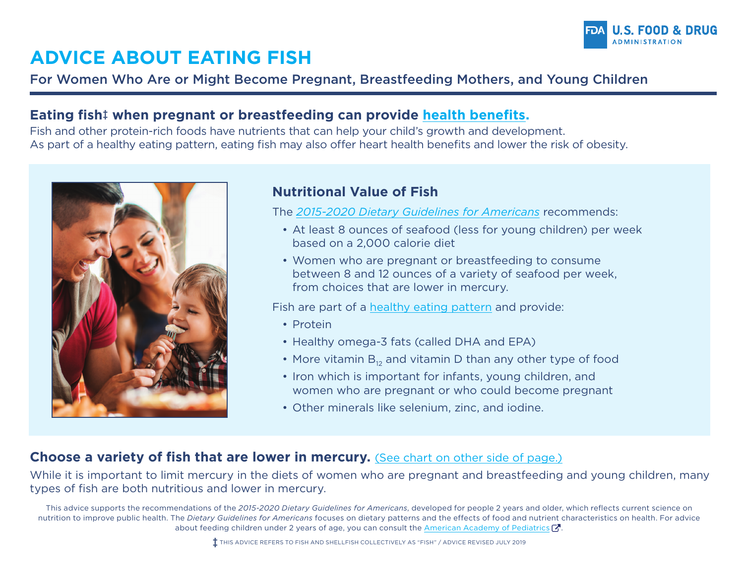

# **ADVICE ABOUT EATING FISH**

### For Women Who Are or Might Become Pregnant, Breastfeeding Mothers, and Young Children

#### **Eating fis[h‡](#page-0-0) when pregnant or breastfeeding can provide [health benefits.](https://www.fda.gov/food/consumers/eating-fish-what-pregnant-women-and-parents-should-know)**

Fish and other protein-rich foods have nutrients that can help your child's growth and development. As part of a healthy eating pattern, eating fish may also offer heart health benefits and lower the risk of obesity.



#### **Nutritional Value of Fish**

The *[2015-2020 Dietary Guidelines for Americans](https://health.gov/dietaryguidelines/2015/guidelines/chapter-1/a-closer-look-inside-healthy-eating-patterns/#callout-seafood)* recommends:

- At least 8 ounces of seafood (less for young children) per week based on a 2,000 calorie diet
- Women who are pregnant or breastfeeding to consume between 8 and 12 ounces of a variety of seafood per week, from choices that are lower in mercury.

Fish are part of a [healthy eating pattern](https://health.gov/dietaryguidelines/2015/guidelines/appendix-3/) and provide:

- Protein
- Healthy omega-3 fats (called DHA and EPA)
- More vitamin  $B_{12}$  and vitamin D than any other type of food
- Iron which is important for infants, young children, and women who are pregnant or who could become pregnant
- <span id="page-0-0"></span>• Other minerals like selenium, zinc, and iodine.

#### **Choose a variety of fish that are lower in mercury.** [\(See chart on other side of page.\)](#page-1-0)

While it is important to limit mercury in the diets of women who are pregnant and breastfeeding and young children, many types of fish are both nutritious and lower in mercury.

This advice supports the recommendations of the *2015-2020 Dietary Guidelines for Americans*, developed for people 2 years and older, which reflects current science on nutrition to improve public health. The *Dietary Guidelines for Americans* focuses on dietary patterns and the effects of food and nutri[ent c](https://www.fda.gov/about-fda/website-policies/website-disclaimer)haracteristics on health. For advice about feeding children under 2 years of age, you can consult the [American Academy of Pediatrics](https://healthychildren.org/English/ages-stages/baby/feeding-nutrition/Pages/Starting-Solid-Foods.aspx)  $\mathbf{C}$ .